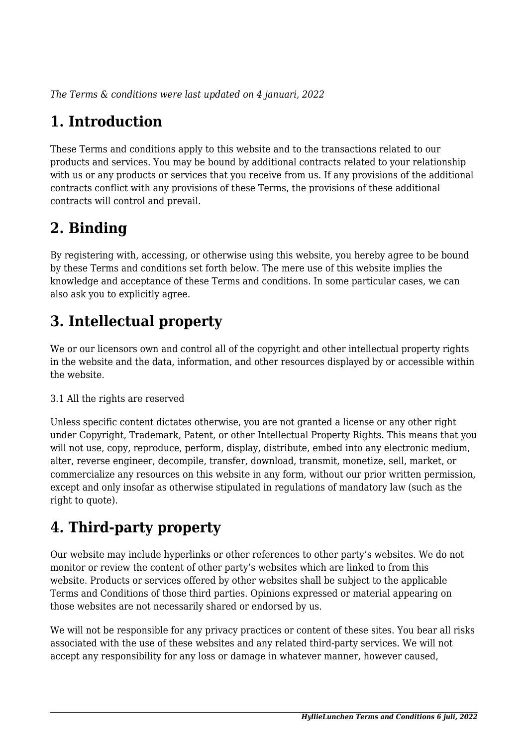*The Terms & conditions were last updated on 4 januari, 2022*

# **1. Introduction**

These Terms and conditions apply to this website and to the transactions related to our products and services. You may be bound by additional contracts related to your relationship with us or any products or services that you receive from us. If any provisions of the additional contracts conflict with any provisions of these Terms, the provisions of these additional contracts will control and prevail.

## **2. Binding**

By registering with, accessing, or otherwise using this website, you hereby agree to be bound by these Terms and conditions set forth below. The mere use of this website implies the knowledge and acceptance of these Terms and conditions. In some particular cases, we can also ask you to explicitly agree.

# **3. Intellectual property**

We or our licensors own and control all of the copyright and other intellectual property rights in the website and the data, information, and other resources displayed by or accessible within the website.

#### 3.1 All the rights are reserved

Unless specific content dictates otherwise, you are not granted a license or any other right under Copyright, Trademark, Patent, or other Intellectual Property Rights. This means that you will not use, copy, reproduce, perform, display, distribute, embed into any electronic medium, alter, reverse engineer, decompile, transfer, download, transmit, monetize, sell, market, or commercialize any resources on this website in any form, without our prior written permission, except and only insofar as otherwise stipulated in regulations of mandatory law (such as the right to quote).

# **4. Third-party property**

Our website may include hyperlinks or other references to other party's websites. We do not monitor or review the content of other party's websites which are linked to from this website. Products or services offered by other websites shall be subject to the applicable Terms and Conditions of those third parties. Opinions expressed or material appearing on those websites are not necessarily shared or endorsed by us.

We will not be responsible for any privacy practices or content of these sites. You bear all risks associated with the use of these websites and any related third-party services. We will not accept any responsibility for any loss or damage in whatever manner, however caused,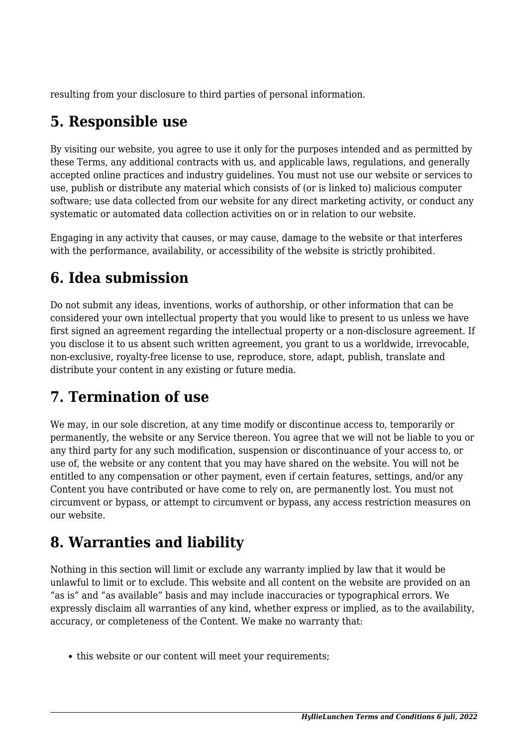resulting from your disclosure to third parties of personal information.

## **5. Responsible use**

By visiting our website, you agree to use it only for the purposes intended and as permitted by these Terms, any additional contracts with us, and applicable laws, regulations, and generally accepted online practices and industry guidelines. You must not use our website or services to use, publish or distribute any material which consists of (or is linked to) malicious computer software; use data collected from our website for any direct marketing activity, or conduct any systematic or automated data collection activities on or in relation to our website.

Engaging in any activity that causes, or may cause, damage to the website or that interferes with the performance, availability, or accessibility of the website is strictly prohibited.

## **6. Idea submission**

Do not submit any ideas, inventions, works of authorship, or other information that can be considered your own intellectual property that you would like to present to us unless we have first signed an agreement regarding the intellectual property or a non-disclosure agreement. If you disclose it to us absent such written agreement, you grant to us a worldwide, irrevocable, non-exclusive, royalty-free license to use, reproduce, store, adapt, publish, translate and distribute your content in any existing or future media.

## **7. Termination of use**

We may, in our sole discretion, at any time modify or discontinue access to, temporarily or permanently, the website or any Service thereon. You agree that we will not be liable to you or any third party for any such modification, suspension or discontinuance of your access to, or use of, the website or any content that you may have shared on the website. You will not be entitled to any compensation or other payment, even if certain features, settings, and/or any Content you have contributed or have come to rely on, are permanently lost. You must not circumvent or bypass, or attempt to circumvent or bypass, any access restriction measures on our website.

## **8. Warranties and liability**

Nothing in this section will limit or exclude any warranty implied by law that it would be unlawful to limit or to exclude. This website and all content on the website are provided on an "as is" and "as available" basis and may include inaccuracies or typographical errors. We expressly disclaim all warranties of any kind, whether express or implied, as to the availability, accuracy, or completeness of the Content. We make no warranty that:

• this website or our content will meet your requirements;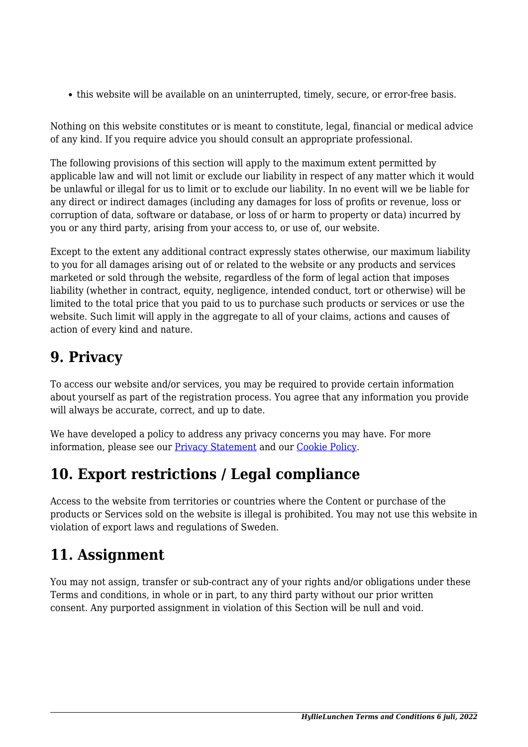this website will be available on an uninterrupted, timely, secure, or error-free basis.

Nothing on this website constitutes or is meant to constitute, legal, financial or medical advice of any kind. If you require advice you should consult an appropriate professional.

The following provisions of this section will apply to the maximum extent permitted by applicable law and will not limit or exclude our liability in respect of any matter which it would be unlawful or illegal for us to limit or to exclude our liability. In no event will we be liable for any direct or indirect damages (including any damages for loss of profits or revenue, loss or corruption of data, software or database, or loss of or harm to property or data) incurred by you or any third party, arising from your access to, or use of, our website.

Except to the extent any additional contract expressly states otherwise, our maximum liability to you for all damages arising out of or related to the website or any products and services marketed or sold through the website, regardless of the form of legal action that imposes liability (whether in contract, equity, negligence, intended conduct, tort or otherwise) will be limited to the total price that you paid to us to purchase such products or services or use the website. Such limit will apply in the aggregate to all of your claims, actions and causes of action of every kind and nature.

#### **9. Privacy**

To access our website and/or services, you may be required to provide certain information about yourself as part of the registration process. You agree that any information you provide will always be accurate, correct, and up to date.

We have developed a policy to address any privacy concerns you may have. For more information, please see our **Privacy Statement** and our **[Cookie Policy](https://hyllielunchen.se/cookie-policy-eu/)**.

#### **10. Export restrictions / Legal compliance**

Access to the website from territories or countries where the Content or purchase of the products or Services sold on the website is illegal is prohibited. You may not use this website in violation of export laws and regulations of Sweden.

## **11. Assignment**

You may not assign, transfer or sub-contract any of your rights and/or obligations under these Terms and conditions, in whole or in part, to any third party without our prior written consent. Any purported assignment in violation of this Section will be null and void.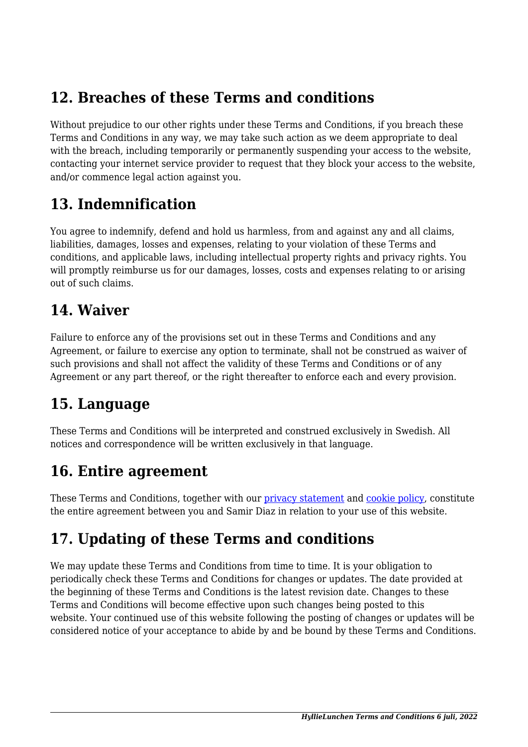#### **12. Breaches of these Terms and conditions**

Without prejudice to our other rights under these Terms and Conditions, if you breach these Terms and Conditions in any way, we may take such action as we deem appropriate to deal with the breach, including temporarily or permanently suspending your access to the website, contacting your internet service provider to request that they block your access to the website, and/or commence legal action against you.

#### **13. Indemnification**

You agree to indemnify, defend and hold us harmless, from and against any and all claims, liabilities, damages, losses and expenses, relating to your violation of these Terms and conditions, and applicable laws, including intellectual property rights and privacy rights. You will promptly reimburse us for our damages, losses, costs and expenses relating to or arising out of such claims.

#### **14. Waiver**

Failure to enforce any of the provisions set out in these Terms and Conditions and any Agreement, or failure to exercise any option to terminate, shall not be construed as waiver of such provisions and shall not affect the validity of these Terms and Conditions or of any Agreement or any part thereof, or the right thereafter to enforce each and every provision.

#### **15. Language**

These Terms and Conditions will be interpreted and construed exclusively in Swedish. All notices and correspondence will be written exclusively in that language.

#### **16. Entire agreement**

These Terms and Conditions, together with our *privacy* statement and *cookie policy*, constitute the entire agreement between you and Samir Diaz in relation to your use of this website.

## **17. Updating of these Terms and conditions**

We may update these Terms and Conditions from time to time. It is your obligation to periodically check these Terms and Conditions for changes or updates. The date provided at the beginning of these Terms and Conditions is the latest revision date. Changes to these Terms and Conditions will become effective upon such changes being posted to this website. Your continued use of this website following the posting of changes or updates will be considered notice of your acceptance to abide by and be bound by these Terms and Conditions.